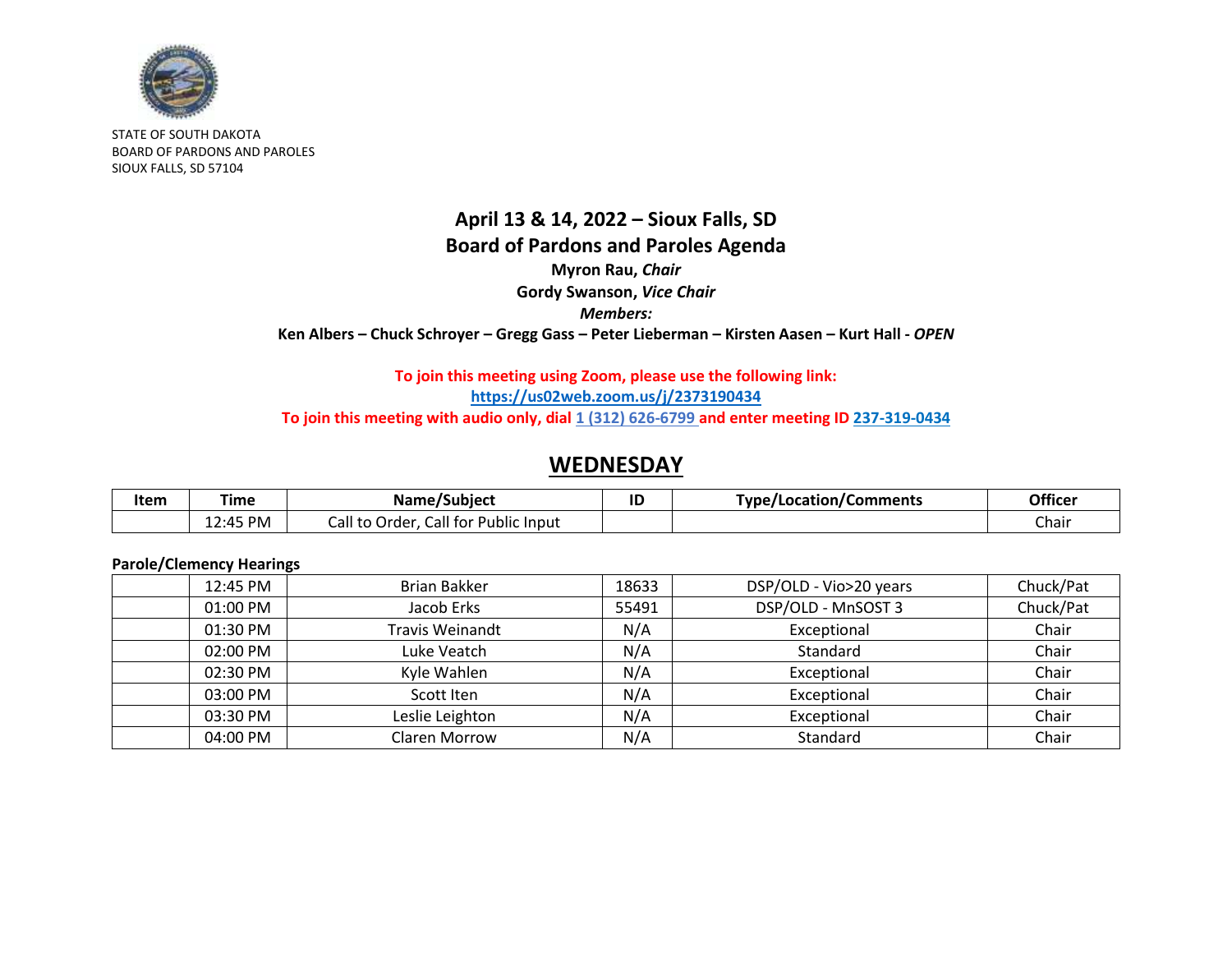

STATE OF SOUTH DAKOTA BOARD OF PARDONS AND PAROLES SIOUX FALLS, SD 57104

## **April 13 & 14, 2022 – Sioux Falls, SD Board of Pardons and Paroles Agenda Myron Rau,** *Chair* **Gordy Swanson,** *Vice Chair Members:* **Ken Albers – Chuck Schroyer – Gregg Gass – Peter Lieberman – Kirsten Aasen – Kurt Hall -** *OPEN*

### **To join this meeting using Zoom, please use the following link: <https://us02web.zoom.us/j/2373190434>** To join this meeting with audio only, dial 1 (312) 626-6799 and enter meeting ID 237-319-0434

## **WEDNESDAY**

| Item | Time               | Name/Subject                                             | ID | Type/Location/Comments | Officer |
|------|--------------------|----------------------------------------------------------|----|------------------------|---------|
|      | $2:45$ PM<br>ᆂᄼᆠᇅᅮ | Call for<br>$\cdot$<br>⁄ all to<br>Public Input<br>Order |    |                        | Chair   |

#### **Parole/Clemency Hearings**

| 12:45 PM | Brian Bakker           | 18633 | DSP/OLD - Vio>20 years | Chuck/Pat |
|----------|------------------------|-------|------------------------|-----------|
| 01:00 PM | Jacob Erks             | 55491 | DSP/OLD - MnSOST 3     | Chuck/Pat |
| 01:30 PM | <b>Travis Weinandt</b> | N/A   | Exceptional            | Chair     |
| 02:00 PM | Luke Veatch            | N/A   | Standard               | Chair     |
| 02:30 PM | Kyle Wahlen            | N/A   | Exceptional            | Chair     |
| 03:00 PM | Scott Iten             | N/A   | Exceptional            | Chair     |
| 03:30 PM | Leslie Leighton        | N/A   | Exceptional            | Chair     |
| 04:00 PM | Claren Morrow          | N/A   | Standard               | Chair     |